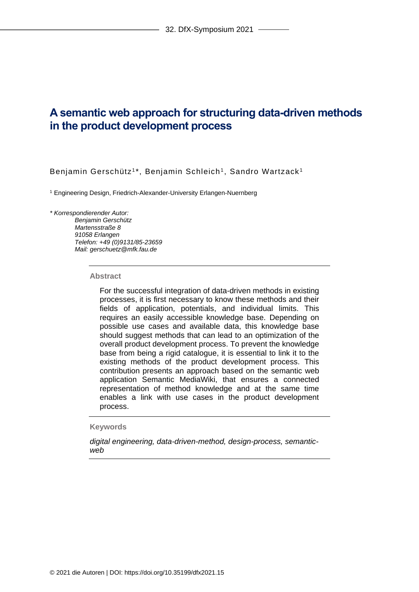# **A semantic web approach for structuring data-driven methods in the product development process**

Benjamin Gerschütz<sup>1\*</sup>, Benjamin Schleich<sup>1</sup>, Sandro Wartzack<sup>1</sup>

<sup>1</sup> Engineering Design, Friedrich-Alexander-University Erlangen-Nuernberg

#### *\* Korrespondierender Autor:*

*Benjamin Gerschütz Martensstraße 8 91058 Erlangen Telefon: +49 (0)9131/85-23659 Mail: gerschuetz@mfk.fau.de*

#### **Abstract**

For the successful integration of data-driven methods in existing processes, it is first necessary to know these methods and their fields of application, potentials, and individual limits. This requires an easily accessible knowledge base. Depending on possible use cases and available data, this knowledge base should suggest methods that can lead to an optimization of the overall product development process. To prevent the knowledge base from being a rigid catalogue, it is essential to link it to the existing methods of the product development process. This contribution presents an approach based on the semantic web application Semantic MediaWiki, that ensures a connected representation of method knowledge and at the same time enables a link with use cases in the product development process.

## **Keywords**

*digital engineering, data-driven-method, design-process, semanticweb*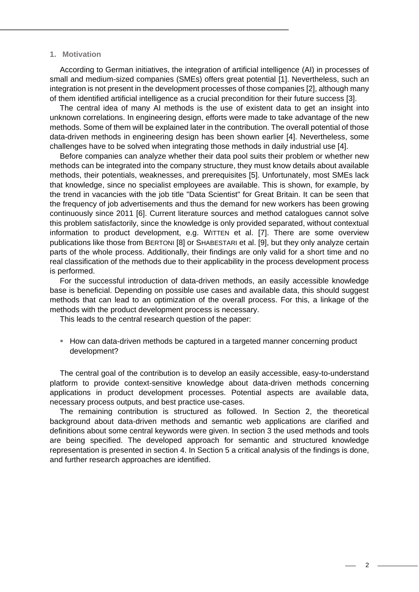## **1. Motivation**

According to German initiatives, the integration of artificial intelligence (AI) in processes of small and medium-sized companies (SMEs) offers great potential [1]. Nevertheless, such an integration is not present in the development processes of those companies [2], although many of them identified artificial intelligence as a crucial precondition for their future success [3].

The central idea of many AI methods is the use of existent data to get an insight into unknown correlations. In engineering design, efforts were made to take advantage of the new methods. Some of them will be explained later in the contribution. The overall potential of those data-driven methods in engineering design has been shown earlier [4]. Nevertheless, some challenges have to be solved when integrating those methods in daily industrial use [4].

Before companies can analyze whether their data pool suits their problem or whether new methods can be integrated into the company structure, they must know details about available methods, their potentials, weaknesses, and prerequisites [5]. Unfortunately, most SMEs lack that knowledge, since no specialist employees are available. This is shown, for example, by the trend in vacancies with the job title "Data Scientist" for Great Britain. It can be seen that the frequency of job advertisements and thus the demand for new workers has been growing continuously since 2011 [6]. Current literature sources and method catalogues cannot solve this problem satisfactorily, since the knowledge is only provided separated, without contextual information to product development, e.g. WITTEN et al. [7]. There are some overview publications like those from BERTONI [8] or SHABESTARI et al. [9], but they only analyze certain parts of the whole process. Additionally, their findings are only valid for a short time and no real classification of the methods due to their applicability in the process development process is performed.

For the successful introduction of data-driven methods, an easily accessible knowledge base is beneficial. Depending on possible use cases and available data, this should suggest methods that can lead to an optimization of the overall process. For this, a linkage of the methods with the product development process is necessary.

This leads to the central research question of the paper:

**EXT** How can data-driven methods be captured in a targeted manner concerning product development?

The central goal of the contribution is to develop an easily accessible, easy-to-understand platform to provide context-sensitive knowledge about data-driven methods concerning applications in product development processes. Potential aspects are available data, necessary process outputs, and best practice use-cases.

The remaining contribution is structured as followed. In Section 2, the theoretical background about data-driven methods and semantic web applications are clarified and definitions about some central keywords were given. In section 3 the used methods and tools are being specified. The developed approach for semantic and structured knowledge representation is presented in section 4. In Section 5 a critical analysis of the findings is done, and further research approaches are identified.

 $\mathfrak{D}$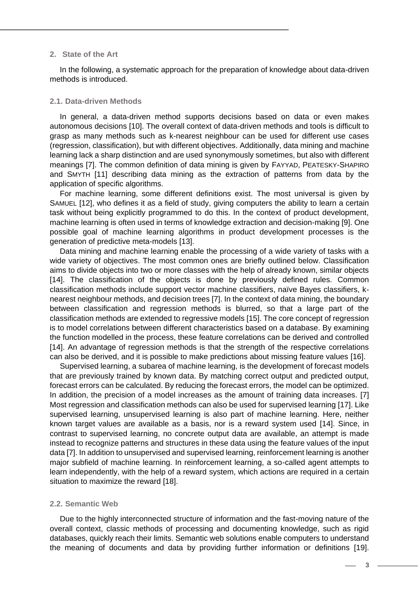## **2. State of the Art**

In the following, a systematic approach for the preparation of knowledge about data-driven methods is introduced.

#### **2.1. Data-driven Methods**

In general, a data-driven method supports decisions based on data or even makes autonomous decisions [10]. The overall context of data-driven methods and tools is difficult to grasp as many methods such as k-nearest neighbour can be used for different use cases (regression, classification), but with different objectives. Additionally, data mining and machine learning lack a sharp distinction and are used synonymously sometimes, but also with different meanings [7]. The common definition of data mining is given by FAYYAD, PEATESKY-SHAPIRO and SMYTH [11] describing data mining as the extraction of patterns from data by the application of specific algorithms.

For machine learning, some different definitions exist. The most universal is given by SAMUEL [12], who defines it as a field of study, giving computers the ability to learn a certain task without being explicitly programmed to do this. In the context of product development, machine learning is often used in terms of knowledge extraction and decision-making [9]. One possible goal of machine learning algorithms in product development processes is the generation of predictive meta-models [13].

Data mining and machine learning enable the processing of a wide variety of tasks with a wide variety of objectives. The most common ones are briefly outlined below. Classification aims to divide objects into two or more classes with the help of already known, similar objects [14]. The classification of the objects is done by previously defined rules. Common classification methods include support vector machine classifiers, naïve Bayes classifiers, knearest neighbour methods, and decision trees [7]. In the context of data mining, the boundary between classification and regression methods is blurred, so that a large part of the classification methods are extended to regressive models [15]. The core concept of regression is to model correlations between different characteristics based on a database. By examining the function modelled in the process, these feature correlations can be derived and controlled [14]. An advantage of regression methods is that the strength of the respective correlations can also be derived, and it is possible to make predictions about missing feature values [16].

Supervised learning, a subarea of machine learning, is the development of forecast models that are previously trained by known data. By matching correct output and predicted output, forecast errors can be calculated. By reducing the forecast errors, the model can be optimized. In addition, the precision of a model increases as the amount of training data increases. [7] Most regression and classification methods can also be used for supervised learning [17]. Like supervised learning, unsupervised learning is also part of machine learning. Here, neither known target values are available as a basis, nor is a reward system used [14]. Since, in contrast to supervised learning, no concrete output data are available, an attempt is made instead to recognize patterns and structures in these data using the feature values of the input data [7]. In addition to unsupervised and supervised learning, reinforcement learning is another major subfield of machine learning. In reinforcement learning, a so-called agent attempts to learn independently, with the help of a reward system, which actions are required in a certain situation to maximize the reward [18].

#### **2.2. Semantic Web**

Due to the highly interconnected structure of information and the fast-moving nature of the overall context, classic methods of processing and documenting knowledge, such as rigid databases, quickly reach their limits. Semantic web solutions enable computers to understand the meaning of documents and data by providing further information or definitions [19].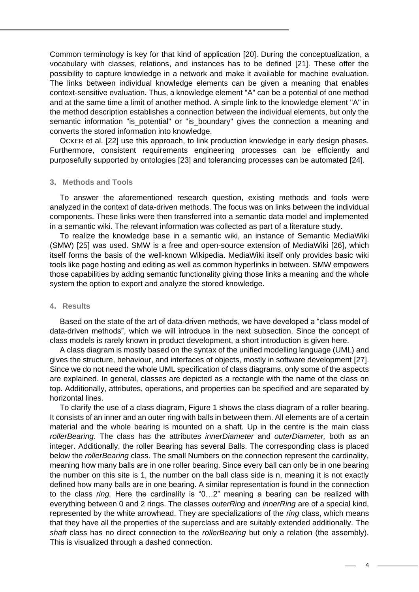Common terminology is key for that kind of application [20]. During the conceptualization, a vocabulary with classes, relations, and instances has to be defined [21]. These offer the possibility to capture knowledge in a network and make it available for machine evaluation. The links between individual knowledge elements can be given a meaning that enables context-sensitive evaluation. Thus, a knowledge element "A" can be a potential of one method and at the same time a limit of another method. A simple link to the knowledge element "A" in the method description establishes a connection between the individual elements, but only the semantic information "is\_potential" or "is\_boundary" gives the connection a meaning and converts the stored information into knowledge.

OCKER et al. [22] use this approach, to link production knowledge in early design phases. Furthermore, consistent requirements engineering processes can be efficiently and purposefully supported by ontologies [23] and tolerancing processes can be automated [24].

## **3. Methods and Tools**

To answer the aforementioned research question, existing methods and tools were analyzed in the context of data-driven methods. The focus was on links between the individual components. These links were then transferred into a semantic data model and implemented in a semantic wiki. The relevant information was collected as part of a literature study.

To realize the knowledge base in a semantic wiki, an instance of Semantic MediaWiki (SMW) [25] was used. SMW is a free and open-source extension of MediaWiki [26], which itself forms the basis of the well-known Wikipedia. MediaWiki itself only provides basic wiki tools like page hosting and editing as well as common hyperlinks in between. SMW empowers those capabilities by adding semantic functionality giving those links a meaning and the whole system the option to export and analyze the stored knowledge.

## **4. Results**

Based on the state of the art of data-driven methods, we have developed a "class model of data-driven methods", which we will introduce in the next subsection. Since the concept of class models is rarely known in product development, a short introduction is given here.

A class diagram is mostly based on the syntax of the unified modelling language (UML) and gives the structure, behaviour, and interfaces of objects, mostly in software development [27]. Since we do not need the whole UML specification of class diagrams, only some of the aspects are explained. In general, classes are depicted as a rectangle with the name of the class on top. Additionally, attributes, operations, and properties can be specified and are separated by horizontal lines.

To clarify the use of a class diagram, [Figure 1](#page-4-0) shows the class diagram of a roller bearing. It consists of an inner and an outer ring with balls in between them. All elements are of a certain material and the whole bearing is mounted on a shaft. Up in the centre is the main class *rollerBearing*. The class has the attributes *innerDiameter* and *outerDiameter,* both as an integer. Additionally, the roller Bearing has several Balls. The corresponding class is placed below the *rollerBearing* class. The small Numbers on the connection represent the cardinality, meaning how many balls are in one roller bearing. Since every ball can only be in one bearing the number on this site is 1, the number on the ball class side is n, meaning it is not exactly defined how many balls are in one bearing. A similar representation is found in the connection to the class *ring.* Here the cardinality is "0…2" meaning a bearing can be realized with everything between 0 and 2 rings. The classes *outerRing* and *innerRing* are of a special kind, represented by the white arrowhead. They are specializations of the *ring* class, which means that they have all the properties of the superclass and are suitably extended additionally. The *shaft* class has no direct connection to the *rollerBearing* but only a relation (the assembly). This is visualized through a dashed connection.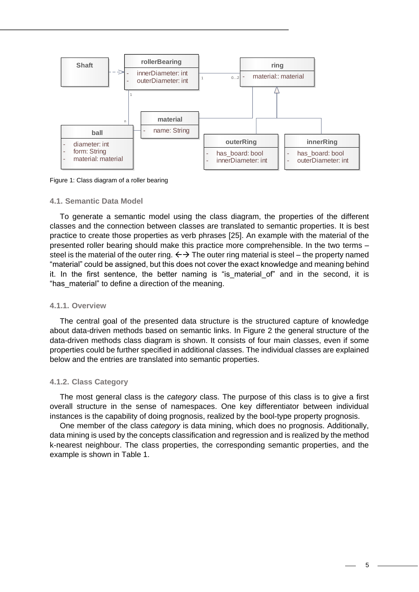

<span id="page-4-0"></span>Figure 1: Class diagram of a roller bearing

#### **4.1. Semantic Data Model**

To generate a semantic model using the class diagram, the properties of the different classes and the connection between classes are translated to semantic properties. It is best practice to create those properties as verb phrases [25]. An example with the material of the presented roller bearing should make this practice more comprehensible. In the two terms – steel is the material of the outer ring.  $\leftrightarrow$  The outer ring material is steel – the property named "material" could be assigned, but this does not cover the exact knowledge and meaning behind it. In the first sentence, the better naming is "is material of" and in the second, it is "has\_material" to define a direction of the meaning.

## **4.1.1. Overview**

The central goal of the presented data structure is the structured capture of knowledge about data-driven methods based on semantic links. In [Figure 2](#page-5-0) the general structure of the data-driven methods class diagram is shown. It consists of four main classes, even if some properties could be further specified in additional classes. The individual classes are explained below and the entries are translated into semantic properties.

## **4.1.2. Class Category**

The most general class is the *category* class. The purpose of this class is to give a first overall structure in the sense of namespaces. One key differentiator between individual instances is the capability of doing prognosis, realized by the bool-type property prognosis.

One member of the class *category* is data mining, which does no prognosis. Additionally, data mining is used by the concepts classification and regression and is realized by the method k-nearest neighbour. The class properties, the corresponding semantic properties, and the example is shown in [Table 1.](#page-5-1)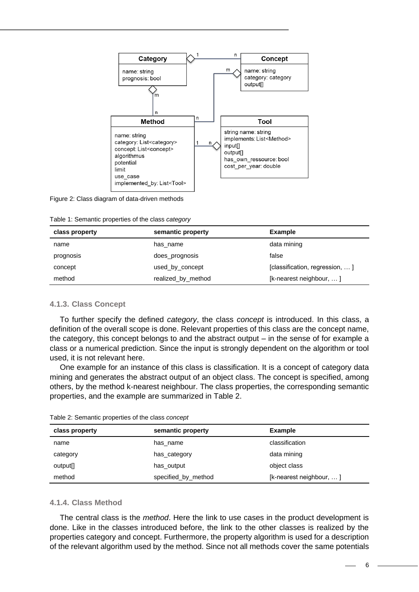

#### <span id="page-5-0"></span>Figure 2: Class diagram of data-driven methods

<span id="page-5-1"></span>Table 1: Semantic properties of the class *category*

| class property | semantic property  | Example                        |
|----------------|--------------------|--------------------------------|
| name           | has name           | data mining                    |
| prognosis      | does prognosis     | false                          |
| concept        | used by concept    | [classification, regression, ] |
| method         | realized by method | [k-nearest neighbour, ]        |

## **4.1.3. Class Concept**

To further specify the defined *category*, the class *concept* is introduced. In this class, a definition of the overall scope is done. Relevant properties of this class are the concept name, the category, this concept belongs to and the abstract output – in the sense of for example a class or a numerical prediction. Since the input is strongly dependent on the algorithm or tool used, it is not relevant here.

One example for an instance of this class is classification. It is a concept of category data mining and generates the abstract output of an object class. The concept is specified, among others, by the method k-nearest neighbour. The class properties, the corresponding semantic properties, and the example are summarized in [Table 2.](#page-5-2)

<span id="page-5-2"></span>

| Table 2: Semantic properties of the class concept |  |  |  |
|---------------------------------------------------|--|--|--|
|---------------------------------------------------|--|--|--|

| class property       | semantic property   | <b>Example</b>              |
|----------------------|---------------------|-----------------------------|
| name                 | has name            | classification              |
| category             | has category        | data mining                 |
| output <sup>[]</sup> | has output          | object class                |
| method               | specified_by_method | [ $k$ -nearest neighbour, ] |

## **4.1.4. Class Method**

The central class is the *method*. Here the link to use cases in the product development is done. Like in the classes introduced before, the link to the other classes is realized by the properties category and concept. Furthermore, the property algorithm is used for a description of the relevant algorithm used by the method. Since not all methods cover the same potentials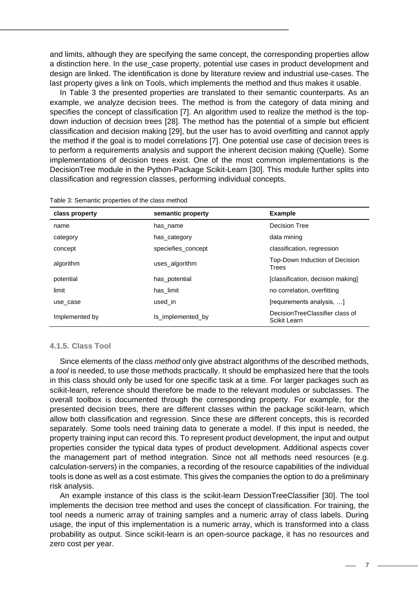and limits, although they are specifying the same concept, the corresponding properties allow a distinction here. In the use case property, potential use cases in product development and design are linked. The identification is done by literature review and industrial use-cases. The last property gives a link on Tools, which implements the method and thus makes it usable.

In [Table 3](#page-6-0) the presented properties are translated to their semantic counterparts. As an example, we analyze decision trees. The method is from the category of data mining and specifies the concept of classification [7]. An algorithm used to realize the method is the topdown induction of decision trees [28]. The method has the potential of a simple but efficient classification and decision making [29], but the user has to avoid overfitting and cannot apply the method if the goal is to model correlations [7]. One potential use case of decision trees is to perform a requirements analysis and support the inherent decision making (Quelle). Some implementations of decision trees exist. One of the most common implementations is the DecisionTree module in the Python-Package Scikit-Learn [30]. This module further splits into classification and regression classes, performing individual concepts.

| class property | semantic property  | <b>Example</b>                                  |
|----------------|--------------------|-------------------------------------------------|
| name           | has name           | Decision Tree                                   |
| category       | has_category       | data mining                                     |
| concept        | speciefies_concept | classification, regression                      |
| algorithm      | uses_algorithm     | Top-Down Induction of Decision<br>Trees         |
| potential      | has potential      | [classification, decision making]               |
| limit          | has limit          | no correlation, overfitting                     |
| use case       | used in            | [requirements analysis, ]                       |
| Implemented by | Is implemented by  | DecisionTreeClassifier class of<br>Scikit Learn |

<span id="page-6-0"></span>Table 3: Semantic properties of the class method

#### **4.1.5. Class Tool**

Since elements of the class *method* only give abstract algorithms of the described methods, a *tool* is needed, to use those methods practically. It should be emphasized here that the tools in this class should only be used for one specific task at a time. For larger packages such as scikit-learn, reference should therefore be made to the relevant modules or subclasses. The overall toolbox is documented through the corresponding property. For example, for the presented decision trees, there are different classes within the package scikit-learn, which allow both classification and regression. Since these are different concepts, this is recorded separately. Some tools need training data to generate a model. If this input is needed, the property training input can record this. To represent product development, the input and output properties consider the typical data types of product development. Additional aspects cover the management part of method integration. Since not all methods need resources (e.g. calculation-servers) in the companies, a recording of the resource capabilities of the individual tools is done as well as a cost estimate. This gives the companies the option to do a preliminary risk analysis.

An example instance of this class is the scikit-learn DessionTreeClassifier [30]. The tool implements the decision tree method and uses the concept of classification. For training, the tool needs a numeric array of training samples and a numeric array of class labels. During usage, the input of this implementation is a numeric array, which is transformed into a class probability as output. Since scikit-learn is an open-source package, it has no resources and zero cost per year.

7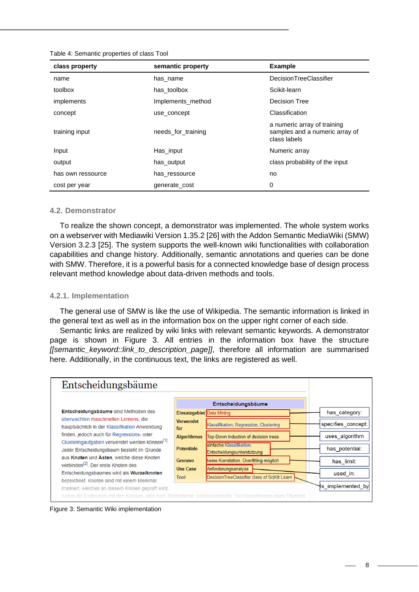| class property    | semantic property  | <b>Example</b>                                                                |
|-------------------|--------------------|-------------------------------------------------------------------------------|
| name              | has name           | DecisionTreeClassifier                                                        |
| toolbox           | has toolbox        | Scikit-learn                                                                  |
| implements        | Implements_method  | Decision Tree                                                                 |
| concept           | use_concept        | Classification                                                                |
| training input    | needs for training | a numeric array of training<br>samples and a numeric array of<br>class labels |
| Input             | Has input          | Numeric array                                                                 |
| output            | has output         | class probability of the input                                                |
| has own ressource | has ressource      | no                                                                            |
| cost per year     | generate cost      | 0                                                                             |

## **4.2. Demonstrator**

To realize the shown concept, a demonstrator was implemented. The whole system works on a webserver with Mediawiki Version 1.35.2 [26] with the Addon Semantic MediaWiki (SMW) Version 3.2.3 [25]. The system supports the well-known wiki functionalities with collaboration capabilities and change history. Additionally, semantic annotations and queries can be done with SMW. Therefore, it is a powerful basis for a connected knowledge base of design process relevant method knowledge about data-driven methods and tools.

## **4.2.1. Implementation**

The general use of SMW is like the use of Wikipedia. The semantic information is linked in the general text as well as in the information box on the upper right corner of each side.

Semantic links are realized by wiki links with relevant semantic keywords. A demonstrator page is shown in [Figure 3.](#page-7-0) All entries in the information box have the structure *[[semantic\_keyword::link\_to\_description\_page]]*, therefore all information are summarised here. Additionally, in the continuous text, the links are registered as well.



<span id="page-7-0"></span>Figure 3: Semantic Wiki implementation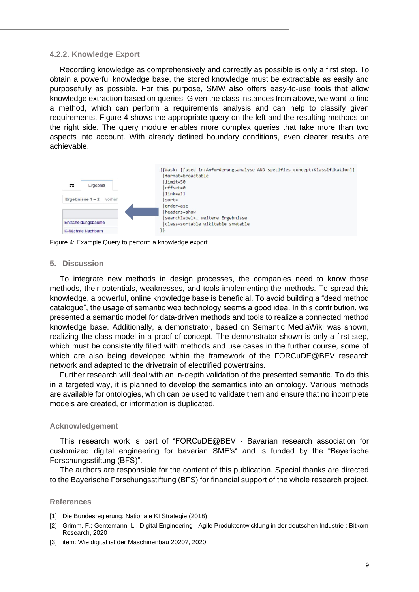#### **4.2.2. Knowledge Export**

Recording knowledge as comprehensively and correctly as possible is only a first step. To obtain a powerful knowledge base, the stored knowledge must be extractable as easily and purposefully as possible. For this purpose, SMW also offers easy-to-use tools that allow knowledge extraction based on queries. Given the class instances from above, we want to find a method, which can perform a requirements analysis and can help to classify given requirements. [Figure 4](#page-8-0) shows the appropriate query on the left and the resulting methods on the right side. The query module enables more complex queries that take more than two aspects into account. With already defined boundary conditions, even clearer results are achievable.



<span id="page-8-0"></span>Figure 4: Example Query to perform a knowledge export.

#### **5. Discussion**

To integrate new methods in design processes, the companies need to know those methods, their potentials, weaknesses, and tools implementing the methods. To spread this knowledge, a powerful, online knowledge base is beneficial. To avoid building a "dead method catalogue", the usage of semantic web technology seems a good idea. In this contribution, we presented a semantic model for data-driven methods and tools to realize a connected method knowledge base. Additionally, a demonstrator, based on Semantic MediaWiki was shown, realizing the class model in a proof of concept. The demonstrator shown is only a first step, which must be consistently filled with methods and use cases in the further course, some of which are also being developed within the framework of the FORCuDE@BEV research network and adapted to the drivetrain of electrified powertrains.

Further research will deal with an in-depth validation of the presented semantic. To do this in a targeted way, it is planned to develop the semantics into an ontology. Various methods are available for ontologies, which can be used to validate them and ensure that no incomplete models are created, or information is duplicated.

#### **Acknowledgement**

This research work is part of "FORCuDE@BEV - Bavarian research association for customized digital engineering for bavarian SME's" and is funded by the "Bayerische Forschungsstiftung (BFS)".

The authors are responsible for the content of this publication. Special thanks are directed to the Bayerische Forschungsstiftung (BFS) for financial support of the whole research project.

#### **References**

- [1] Die Bundesregierung: Nationale KI Strategie (2018)
- [2] Grimm, F.; Gentemann, L.: Digital Engineering Agile Produktentwicklung in der deutschen Industrie : Bitkom Research, 2020
- [3] item: Wie digital ist der Maschinenbau 2020?, 2020